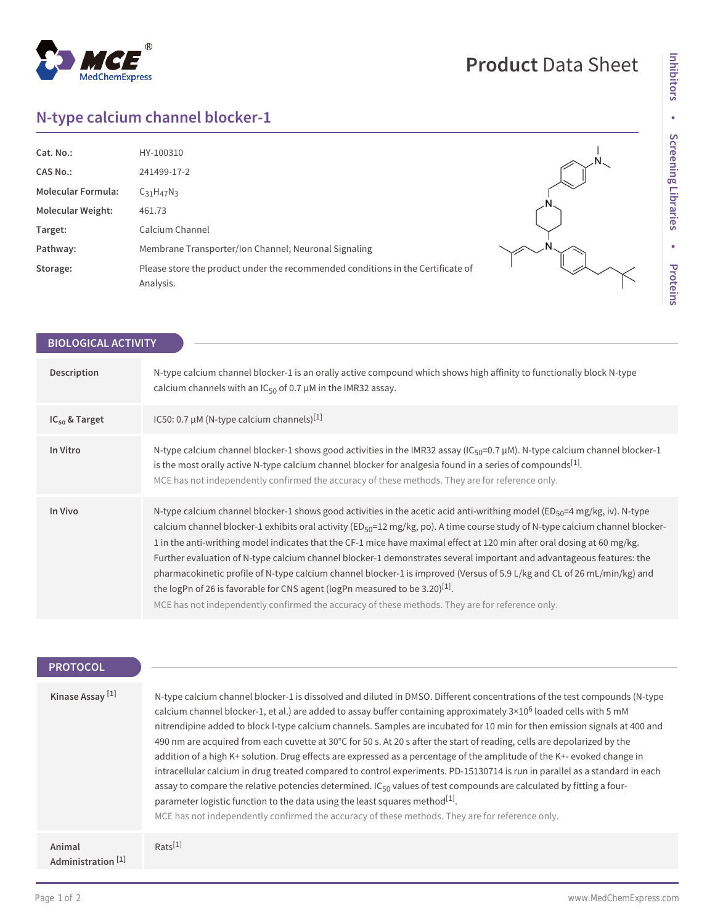# $^{\circledR}$ MedChemExpress

# **Product** Data Sheet

## **N-type calcium channel blocker-1**

| Cat. No.:                 | HY-100310                                                                                    |  |
|---------------------------|----------------------------------------------------------------------------------------------|--|
| <b>CAS No.:</b>           | 241499-17-2                                                                                  |  |
| <b>Molecular Formula:</b> | $C_{31}H_{47}N_3$                                                                            |  |
| <b>Molecular Weight:</b>  | 461.73                                                                                       |  |
| Target:                   | Calcium Channel                                                                              |  |
| Pathway:                  | Membrane Transporter/Ion Channel; Neuronal Signaling                                         |  |
| Storage:                  | Please store the product under the recommended conditions in the Certificate of<br>Analysis. |  |

| <b>BIOLOGICAL ACTIVITY</b> |                                                                                                                                                                                                                                                                                                                                                                                                                                                                                                                                                                                                                                                                                                                                                                                                                                                                |
|----------------------------|----------------------------------------------------------------------------------------------------------------------------------------------------------------------------------------------------------------------------------------------------------------------------------------------------------------------------------------------------------------------------------------------------------------------------------------------------------------------------------------------------------------------------------------------------------------------------------------------------------------------------------------------------------------------------------------------------------------------------------------------------------------------------------------------------------------------------------------------------------------|
| Description                | N-type calcium channel blocker-1 is an orally active compound which shows high affinity to functionally block N-type<br>calcium channels with an $IC_{50}$ of 0.7 $\mu$ M in the IMR32 assay.                                                                                                                                                                                                                                                                                                                                                                                                                                                                                                                                                                                                                                                                  |
| $IC_{50}$ & Target         | IC50: 0.7 $\mu$ M (N-type calcium channels) <sup>[1]</sup>                                                                                                                                                                                                                                                                                                                                                                                                                                                                                                                                                                                                                                                                                                                                                                                                     |
| In Vitro                   | N-type calcium channel blocker-1 shows good activities in the IMR32 assay (IC <sub>50</sub> =0.7 µM). N-type calcium channel blocker-1<br>is the most orally active N-type calcium channel blocker for analgesia found in a series of compounds <sup>[1]</sup> .<br>MCE has not independently confirmed the accuracy of these methods. They are for reference only.                                                                                                                                                                                                                                                                                                                                                                                                                                                                                            |
| In Vivo                    | N-type calcium channel blocker-1 shows good activities in the acetic acid anti-writhing model (ED <sub>50</sub> =4 mg/kg, iv). N-type<br>calcium channel blocker-1 exhibits oral activity (ED <sub>50</sub> =12 mg/kg, po). A time course study of N-type calcium channel blocker-<br>1 in the anti-writhing model indicates that the CF-1 mice have maximal effect at 120 min after oral dosing at 60 mg/kg.<br>Further evaluation of N-type calcium channel blocker-1 demonstrates several important and advantageous features: the<br>pharmacokinetic profile of N-type calcium channel blocker-1 is improved (Versus of 5.9 L/kg and CL of 26 mL/min/kg) and<br>the logPn of 26 is favorable for CNS agent (logPn measured to be 3.20) <sup>[1]</sup> .<br>MCE has not independently confirmed the accuracy of these methods. They are for reference only. |

## **PROTOCOL**

| Kinase Assay <sup>[1]</sup>             | N-type calcium channel blocker-1 is dissolved and diluted in DMSO. Different concentrations of the test compounds (N-type<br>calcium channel blocker-1, et al.) are added to assay buffer containing approximately $3\times10^6$ loaded cells with 5 mM<br>nitrendipine added to block l-type calcium channels. Samples are incubated for 10 min for then emission signals at 400 and<br>490 nm are acquired from each cuvette at 30°C for 50 s. At 20 s after the start of reading, cells are depolarized by the<br>addition of a high K+ solution. Drug effects are expressed as a percentage of the amplitude of the K+- evoked change in<br>intracellular calcium in drug treated compared to control experiments. PD-15130714 is run in parallel as a standard in each<br>assay to compare the relative potencies determined. IC <sub>50</sub> values of test compounds are calculated by fitting a four-<br>parameter logistic function to the data using the least squares method <sup>[1]</sup> .<br>MCE has not independently confirmed the accuracy of these methods. They are for reference only. |
|-----------------------------------------|--------------------------------------------------------------------------------------------------------------------------------------------------------------------------------------------------------------------------------------------------------------------------------------------------------------------------------------------------------------------------------------------------------------------------------------------------------------------------------------------------------------------------------------------------------------------------------------------------------------------------------------------------------------------------------------------------------------------------------------------------------------------------------------------------------------------------------------------------------------------------------------------------------------------------------------------------------------------------------------------------------------------------------------------------------------------------------------------------------------|
| Animal<br>Administration <sup>[1]</sup> | $Rats^{[1]}$                                                                                                                                                                                                                                                                                                                                                                                                                                                                                                                                                                                                                                                                                                                                                                                                                                                                                                                                                                                                                                                                                                 |